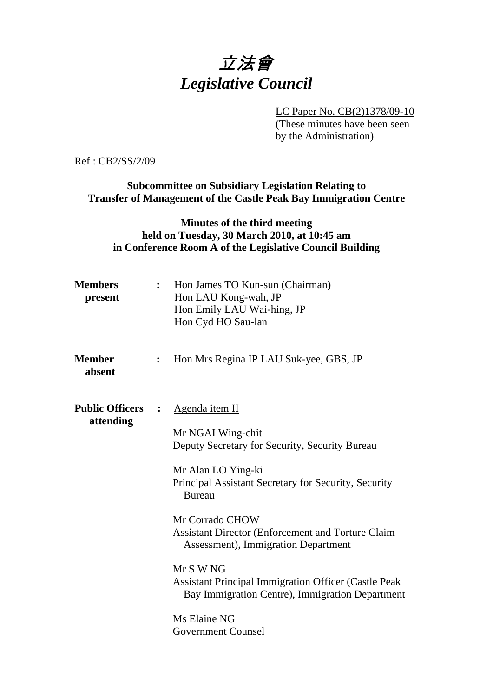# 立法會 *Legislative Council*

LC Paper No. CB(2)1378/09-10

(These minutes have been seen by the Administration)

Ref : CB2/SS/2/09

**Subcommittee on Subsidiary Legislation Relating to Transfer of Management of the Castle Peak Bay Immigration Centre** 

#### **Minutes of the third meeting held on Tuesday, 30 March 2010, at 10:45 am in Conference Room A of the Legislative Council Building**

| <b>Members</b><br>present           | $\mathbf{r}$ | Hon James TO Kun-sun (Chairman)<br>Hon LAU Kong-wah, JP<br>Hon Emily LAU Wai-hing, JP<br>Hon Cyd HO Sau-lan                                                                                                                                                                                                                                                                                                                         |
|-------------------------------------|--------------|-------------------------------------------------------------------------------------------------------------------------------------------------------------------------------------------------------------------------------------------------------------------------------------------------------------------------------------------------------------------------------------------------------------------------------------|
| <b>Member</b><br>absent             |              | Hon Mrs Regina IP LAU Suk-yee, GBS, JP                                                                                                                                                                                                                                                                                                                                                                                              |
| <b>Public Officers</b><br>attending |              | Agenda item II<br>Mr NGAI Wing-chit<br>Deputy Secretary for Security, Security Bureau<br>Mr Alan LO Ying-ki<br>Principal Assistant Secretary for Security, Security<br><b>Bureau</b><br>Mr Corrado CHOW<br>Assistant Director (Enforcement and Torture Claim<br>Assessment), Immigration Department<br>Mr S W NG<br><b>Assistant Principal Immigration Officer (Castle Peak)</b><br>Bay Immigration Centre), Immigration Department |
|                                     |              | Ms Elaine NG<br><b>Government Counsel</b>                                                                                                                                                                                                                                                                                                                                                                                           |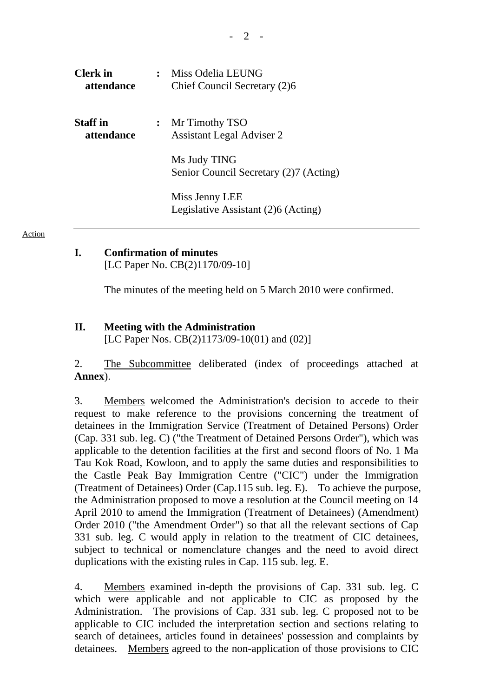| Clerk in<br>attendance        | Miss Odelia LEUNG<br>Chief Council Secretary (2)6      |
|-------------------------------|--------------------------------------------------------|
| <b>Staff</b> in<br>attendance | : Mr Timothy TSO<br><b>Assistant Legal Adviser 2</b>   |
|                               | Ms Judy TING<br>Senior Council Secretary (2)7 (Acting) |
|                               | Miss Jenny LEE<br>Legislative Assistant (2)6 (Acting)  |

Action

## **I. Confirmation of minutes**

[LC Paper No. CB(2)1170/09-10]

The minutes of the meeting held on 5 March 2010 were confirmed.

#### **II. Meeting with the Administration**

[LC Paper Nos. CB(2)1173/09-10(01) and (02)]

2. The Subcommittee deliberated (index of proceedings attached at **Annex**).

3. Members welcomed the Administration's decision to accede to their request to make reference to the provisions concerning the treatment of detainees in the Immigration Service (Treatment of Detained Persons) Order (Cap. 331 sub. leg. C) ("the Treatment of Detained Persons Order"), which was applicable to the detention facilities at the first and second floors of No. 1 Ma Tau Kok Road, Kowloon, and to apply the same duties and responsibilities to the Castle Peak Bay Immigration Centre ("CIC") under the Immigration (Treatment of Detainees) Order (Cap.115 sub. leg. E). To achieve the purpose, the Administration proposed to move a resolution at the Council meeting on 14 April 2010 to amend the Immigration (Treatment of Detainees) (Amendment) Order 2010 ("the Amendment Order") so that all the relevant sections of Cap 331 sub. leg. C would apply in relation to the treatment of CIC detainees, subject to technical or nomenclature changes and the need to avoid direct duplications with the existing rules in Cap. 115 sub. leg. E.

4. Members examined in-depth the provisions of Cap. 331 sub. leg. C which were applicable and not applicable to CIC as proposed by the Administration. The provisions of Cap. 331 sub. leg. C proposed not to be applicable to CIC included the interpretation section and sections relating to search of detainees, articles found in detainees' possession and complaints by detainees. Members agreed to the non-application of those provisions to CIC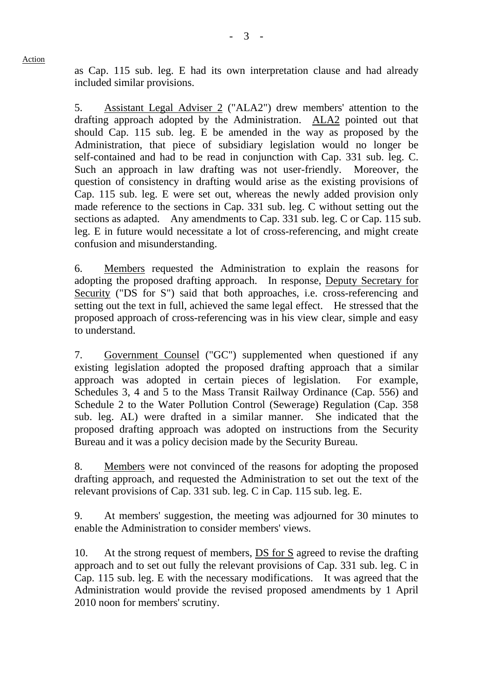Action

as Cap. 115 sub. leg. E had its own interpretation clause and had already included similar provisions.

5. Assistant Legal Adviser 2 ("ALA2") drew members' attention to the drafting approach adopted by the Administration. ALA2 pointed out that should Cap. 115 sub. leg. E be amended in the way as proposed by the Administration, that piece of subsidiary legislation would no longer be self-contained and had to be read in conjunction with Cap. 331 sub. leg. C. Such an approach in law drafting was not user-friendly. Moreover, the question of consistency in drafting would arise as the existing provisions of Cap. 115 sub. leg. E were set out, whereas the newly added provision only made reference to the sections in Cap. 331 sub. leg. C without setting out the sections as adapted. Any amendments to Cap. 331 sub. leg. C or Cap. 115 sub. leg. E in future would necessitate a lot of cross-referencing, and might create confusion and misunderstanding.

6. Members requested the Administration to explain the reasons for adopting the proposed drafting approach. In response, Deputy Secretary for Security ("DS for S") said that both approaches, i.e. cross-referencing and setting out the text in full, achieved the same legal effect. He stressed that the proposed approach of cross-referencing was in his view clear, simple and easy to understand.

7. Government Counsel ("GC") supplemented when questioned if any existing legislation adopted the proposed drafting approach that a similar approach was adopted in certain pieces of legislation. For example, Schedules 3, 4 and 5 to the Mass Transit Railway Ordinance (Cap. 556) and Schedule 2 to the Water Pollution Control (Sewerage) Regulation (Cap. 358 sub. leg. AL) were drafted in a similar manner. She indicated that the proposed drafting approach was adopted on instructions from the Security Bureau and it was a policy decision made by the Security Bureau.

8. Members were not convinced of the reasons for adopting the proposed drafting approach, and requested the Administration to set out the text of the relevant provisions of Cap. 331 sub. leg. C in Cap. 115 sub. leg. E.

9. At members' suggestion, the meeting was adjourned for 30 minutes to enable the Administration to consider members' views.

10. At the strong request of members, DS for S agreed to revise the drafting approach and to set out fully the relevant provisions of Cap. 331 sub. leg. C in Cap. 115 sub. leg. E with the necessary modifications. It was agreed that the Administration would provide the revised proposed amendments by 1 April 2010 noon for members' scrutiny.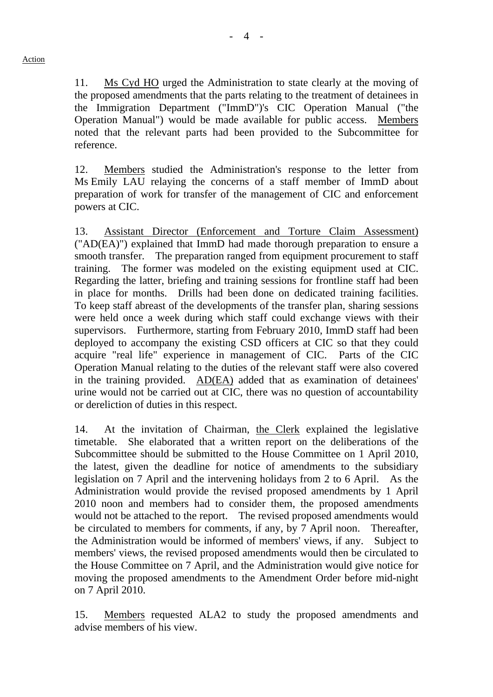11. Ms Cyd HO urged the Administration to state clearly at the moving of the proposed amendments that the parts relating to the treatment of detainees in the Immigration Department ("ImmD")'s CIC Operation Manual ("the Operation Manual") would be made available for public access. Members noted that the relevant parts had been provided to the Subcommittee for reference.

12. Members studied the Administration's response to the letter from Ms Emily LAU relaying the concerns of a staff member of ImmD about preparation of work for transfer of the management of CIC and enforcement powers at CIC.

13. Assistant Director (Enforcement and Torture Claim Assessment) ("AD(EA)") explained that ImmD had made thorough preparation to ensure a smooth transfer. The preparation ranged from equipment procurement to staff training. The former was modeled on the existing equipment used at CIC. Regarding the latter, briefing and training sessions for frontline staff had been in place for months. Drills had been done on dedicated training facilities. To keep staff abreast of the developments of the transfer plan, sharing sessions were held once a week during which staff could exchange views with their supervisors. Furthermore, starting from February 2010, ImmD staff had been deployed to accompany the existing CSD officers at CIC so that they could acquire "real life" experience in management of CIC. Parts of the CIC Operation Manual relating to the duties of the relevant staff were also covered in the training provided. AD(EA) added that as examination of detainees' urine would not be carried out at CIC, there was no question of accountability or dereliction of duties in this respect.

14. At the invitation of Chairman, the Clerk explained the legislative timetable. She elaborated that a written report on the deliberations of the Subcommittee should be submitted to the House Committee on 1 April 2010, the latest, given the deadline for notice of amendments to the subsidiary legislation on 7 April and the intervening holidays from 2 to 6 April. As the Administration would provide the revised proposed amendments by 1 April 2010 noon and members had to consider them, the proposed amendments would not be attached to the report. The revised proposed amendments would be circulated to members for comments, if any, by 7 April noon. Thereafter, the Administration would be informed of members' views, if any. Subject to members' views, the revised proposed amendments would then be circulated to the House Committee on 7 April, and the Administration would give notice for moving the proposed amendments to the Amendment Order before mid-night on 7 April 2010.

15. Members requested ALA2 to study the proposed amendments and advise members of his view.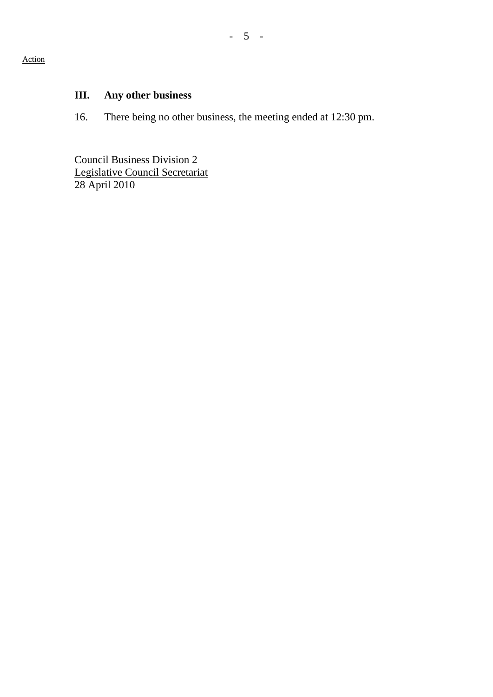#### Action

## **III. Any other business**

16. There being no other business, the meeting ended at 12:30 pm.

Council Business Division 2 Legislative Council Secretariat 28 April 2010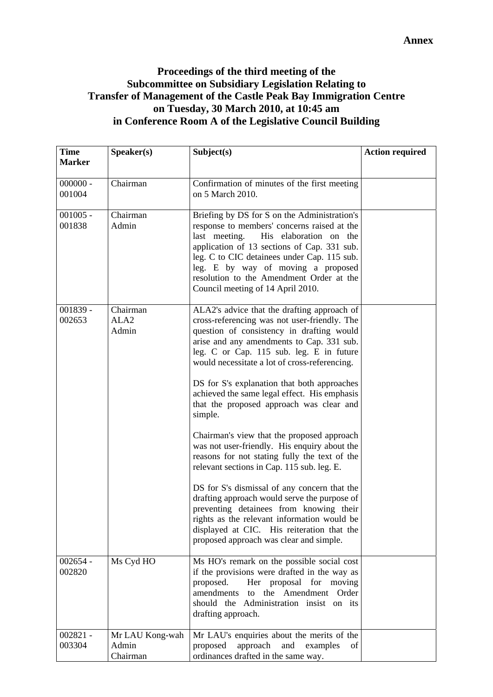## **Proceedings of the third meeting of the Subcommittee on Subsidiary Legislation Relating to Transfer of Management of the Castle Peak Bay Immigration Centre on Tuesday, 30 March 2010, at 10:45 am in Conference Room A of the Legislative Council Building**

| <b>Time</b>          | Speaker(s)                            | Subject(s)                                                                                                                                                                                                                                                                                                                                                                                                                                                                                                                                                                                                                                                                                                                                                                                                                                                                                                               | <b>Action required</b> |
|----------------------|---------------------------------------|--------------------------------------------------------------------------------------------------------------------------------------------------------------------------------------------------------------------------------------------------------------------------------------------------------------------------------------------------------------------------------------------------------------------------------------------------------------------------------------------------------------------------------------------------------------------------------------------------------------------------------------------------------------------------------------------------------------------------------------------------------------------------------------------------------------------------------------------------------------------------------------------------------------------------|------------------------|
| <b>Marker</b>        |                                       |                                                                                                                                                                                                                                                                                                                                                                                                                                                                                                                                                                                                                                                                                                                                                                                                                                                                                                                          |                        |
| $000000 -$<br>001004 | Chairman                              | Confirmation of minutes of the first meeting<br>on 5 March 2010.                                                                                                                                                                                                                                                                                                                                                                                                                                                                                                                                                                                                                                                                                                                                                                                                                                                         |                        |
| $001005 -$<br>001838 | Chairman<br>Admin                     | Briefing by DS for S on the Administration's<br>response to members' concerns raised at the<br>last meeting.<br>His elaboration on the<br>application of 13 sections of Cap. 331 sub.<br>leg. C to CIC detainees under Cap. 115 sub.<br>leg. E by way of moving a proposed<br>resolution to the Amendment Order at the<br>Council meeting of 14 April 2010.                                                                                                                                                                                                                                                                                                                                                                                                                                                                                                                                                              |                        |
| 001839 -<br>002653   | Chairman<br>ALA <sub>2</sub><br>Admin | ALA2's advice that the drafting approach of<br>cross-referencing was not user-friendly. The<br>question of consistency in drafting would<br>arise and any amendments to Cap. 331 sub.<br>leg. C or Cap. 115 sub. leg. E in future<br>would necessitate a lot of cross-referencing.<br>DS for S's explanation that both approaches<br>achieved the same legal effect. His emphasis<br>that the proposed approach was clear and<br>simple.<br>Chairman's view that the proposed approach<br>was not user-friendly. His enquiry about the<br>reasons for not stating fully the text of the<br>relevant sections in Cap. 115 sub. leg. E.<br>DS for S's dismissal of any concern that the<br>drafting approach would serve the purpose of<br>preventing detainees from knowing their<br>rights as the relevant information would be<br>displayed at CIC. His reiteration that the<br>proposed approach was clear and simple. |                        |
| $002654 -$<br>002820 | Ms Cyd HO                             | Ms HO's remark on the possible social cost<br>if the provisions were drafted in the way as<br>proposed.<br>Her proposal for<br>moving<br>amendments<br>the Amendment<br>Order<br>to<br>should the Administration insist on its<br>drafting approach.                                                                                                                                                                                                                                                                                                                                                                                                                                                                                                                                                                                                                                                                     |                        |
| $002821 -$<br>003304 | Mr LAU Kong-wah<br>Admin<br>Chairman  | Mr LAU's enquiries about the merits of the<br>proposed<br>approach<br>and<br>examples<br>of<br>ordinances drafted in the same way.                                                                                                                                                                                                                                                                                                                                                                                                                                                                                                                                                                                                                                                                                                                                                                                       |                        |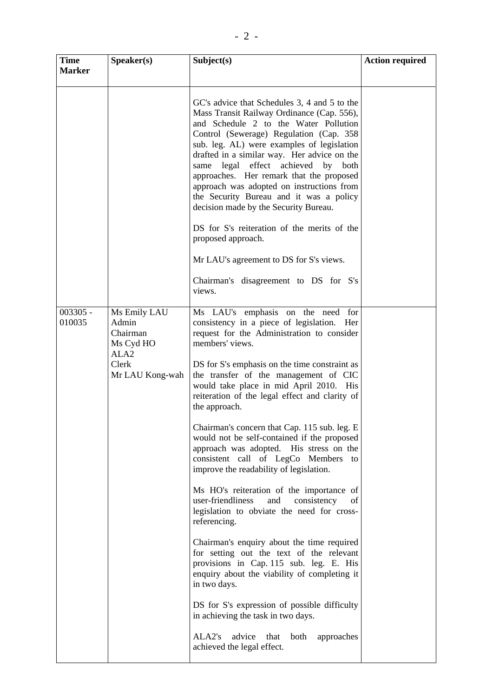| <b>Time</b><br><b>Marker</b> | Speaker(s)                                                         | Subject(s)                                                                                                                                                                                                                                                                                                                                                                                                                                                                                     | <b>Action required</b> |
|------------------------------|--------------------------------------------------------------------|------------------------------------------------------------------------------------------------------------------------------------------------------------------------------------------------------------------------------------------------------------------------------------------------------------------------------------------------------------------------------------------------------------------------------------------------------------------------------------------------|------------------------|
|                              |                                                                    |                                                                                                                                                                                                                                                                                                                                                                                                                                                                                                |                        |
|                              |                                                                    | GC's advice that Schedules 3, 4 and 5 to the<br>Mass Transit Railway Ordinance (Cap. 556),<br>and Schedule 2 to the Water Pollution<br>Control (Sewerage) Regulation (Cap. 358<br>sub. leg. AL) were examples of legislation<br>drafted in a similar way. Her advice on the<br>same legal effect achieved by both<br>approaches. Her remark that the proposed<br>approach was adopted on instructions from<br>the Security Bureau and it was a policy<br>decision made by the Security Bureau. |                        |
|                              |                                                                    | DS for S's reiteration of the merits of the<br>proposed approach.                                                                                                                                                                                                                                                                                                                                                                                                                              |                        |
|                              |                                                                    | Mr LAU's agreement to DS for S's views.                                                                                                                                                                                                                                                                                                                                                                                                                                                        |                        |
|                              |                                                                    | Chairman's disagreement to DS for S's<br>views.                                                                                                                                                                                                                                                                                                                                                                                                                                                |                        |
| $003305 -$<br>010035         | Ms Emily LAU<br>Admin<br>Chairman<br>Ms Cyd HO<br>ALA <sub>2</sub> | Ms LAU's emphasis on the need for<br>consistency in a piece of legislation. Her<br>request for the Administration to consider<br>members' views.                                                                                                                                                                                                                                                                                                                                               |                        |
|                              | Clerk<br>Mr LAU Kong-wah                                           | DS for S's emphasis on the time constraint as<br>the transfer of the management of CIC<br>would take place in mid April 2010. His<br>reiteration of the legal effect and clarity of<br>the approach.                                                                                                                                                                                                                                                                                           |                        |
|                              |                                                                    | Chairman's concern that Cap. 115 sub. leg. E<br>would not be self-contained if the proposed<br>approach was adopted. His stress on the<br>consistent call of LegCo Members<br>to<br>improve the readability of legislation.                                                                                                                                                                                                                                                                    |                        |
|                              |                                                                    | Ms HO's reiteration of the importance of<br>user-friendliness<br>and<br>consistency<br>of<br>legislation to obviate the need for cross-<br>referencing.                                                                                                                                                                                                                                                                                                                                        |                        |
|                              |                                                                    | Chairman's enquiry about the time required<br>for setting out the text of the relevant<br>provisions in Cap. 115 sub. leg. E. His<br>enquiry about the viability of completing it<br>in two days.                                                                                                                                                                                                                                                                                              |                        |
|                              |                                                                    | DS for S's expression of possible difficulty<br>in achieving the task in two days.                                                                                                                                                                                                                                                                                                                                                                                                             |                        |
|                              |                                                                    | ALA2's<br>advice<br>both<br>approaches<br>that<br>achieved the legal effect.                                                                                                                                                                                                                                                                                                                                                                                                                   |                        |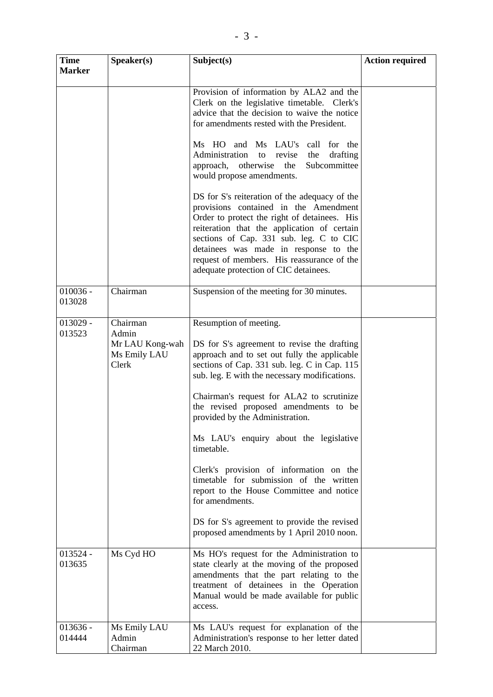| <b>Time</b><br><b>Marker</b> | Speaker(s)                                                    | Subject(s)                                                                                                                                                                                                                                                                                                                                                                                                                                                                                                                                                                                                                                                                                                               | <b>Action required</b> |
|------------------------------|---------------------------------------------------------------|--------------------------------------------------------------------------------------------------------------------------------------------------------------------------------------------------------------------------------------------------------------------------------------------------------------------------------------------------------------------------------------------------------------------------------------------------------------------------------------------------------------------------------------------------------------------------------------------------------------------------------------------------------------------------------------------------------------------------|------------------------|
|                              |                                                               | Provision of information by ALA2 and the<br>Clerk on the legislative timetable. Clerk's<br>advice that the decision to waive the notice<br>for amendments rested with the President.<br>Ms HO and Ms LAU's call for the<br>Administration to<br>revise<br>the<br>drafting<br>approach, otherwise<br>the<br>Subcommittee<br>would propose amendments.<br>DS for S's reiteration of the adequacy of the<br>provisions contained in the Amendment<br>Order to protect the right of detainees. His<br>reiteration that the application of certain<br>sections of Cap. 331 sub. leg. C to CIC<br>detainees was made in response to the<br>request of members. His reassurance of the<br>adequate protection of CIC detainees. |                        |
| $010036 -$<br>013028         | Chairman                                                      | Suspension of the meeting for 30 minutes.                                                                                                                                                                                                                                                                                                                                                                                                                                                                                                                                                                                                                                                                                |                        |
| $013029 -$<br>013523         | Chairman<br>Admin<br>Mr LAU Kong-wah<br>Ms Emily LAU<br>Clerk | Resumption of meeting.<br>DS for S's agreement to revise the drafting<br>approach and to set out fully the applicable<br>sections of Cap. 331 sub. leg. C in Cap. 115<br>sub. leg. E with the necessary modifications.<br>Chairman's request for ALA2 to scrutinize<br>the revised proposed amendments to be<br>provided by the Administration.<br>Ms LAU's enquiry about the legislative<br>timetable.<br>Clerk's provision of information on the<br>timetable for submission of the written<br>report to the House Committee and notice<br>for amendments.<br>DS for S's agreement to provide the revised<br>proposed amendments by 1 April 2010 noon.                                                                 |                        |
| 013524 -<br>013635           | Ms Cyd HO                                                     | Ms HO's request for the Administration to<br>state clearly at the moving of the proposed<br>amendments that the part relating to the<br>treatment of detainees in the Operation<br>Manual would be made available for public<br>access.                                                                                                                                                                                                                                                                                                                                                                                                                                                                                  |                        |
| $013636 -$<br>014444         | Ms Emily LAU<br>Admin<br>Chairman                             | Ms LAU's request for explanation of the<br>Administration's response to her letter dated<br>22 March 2010.                                                                                                                                                                                                                                                                                                                                                                                                                                                                                                                                                                                                               |                        |